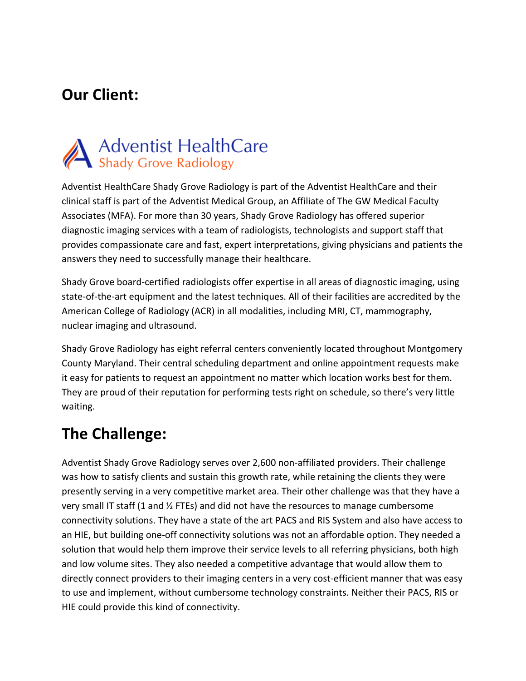#### **Our Client:**

# **Adventist HealthCare**<br>Shady Grove Radiology

Adventist HealthCare Shady Grove Radiology is part of the Adventist HealthCare and their clinical staff is part of the Adventist Medical Group, an Affiliate of The GW Medical Faculty Associates (MFA). For more than 30 years, Shady Grove Radiology has offered superior diagnostic imaging services with a team of radiologists, technologists and support staff that provides compassionate care and fast, expert interpretations, giving physicians and patients the answers they need to successfully manage their healthcare.

Shady Grove board-certified radiologists offer expertise in all areas of diagnostic imaging, using state-of-the-art equipment and the latest techniques. All of their facilities are accredited by the American College of Radiology (ACR) in all modalities, including MRI, CT, mammography, nuclear imaging and ultrasound.

Shady Grove Radiology has eight referral centers conveniently located throughout Montgomery County Maryland. Their central scheduling department and online appointment requests make it easy for patients to request an appointment no matter which location works best for them. They are proud of their reputation for performing tests right on schedule, so there's very little waiting.

#### **The Challenge:**

Adventist Shady Grove Radiology serves over 2,600 non-affiliated providers. Their challenge was how to satisfy clients and sustain this growth rate, while retaining the clients they were presently serving in a very competitive market area. Their other challenge was that they have a very small IT staff (1 and  $\frac{1}{2}$  FTEs) and did not have the resources to manage cumbersome connectivity solutions. They have a state of the art PACS and RIS System and also have access to an HIE, but building one-off connectivity solutions was not an affordable option. They needed a solution that would help them improve their service levels to all referring physicians, both high and low volume sites. They also needed a competitive advantage that would allow them to directly connect providers to their imaging centers in a very cost-efficient manner that was easy to use and implement, without cumbersome technology constraints. Neither their PACS, RIS or HIE could provide this kind of connectivity.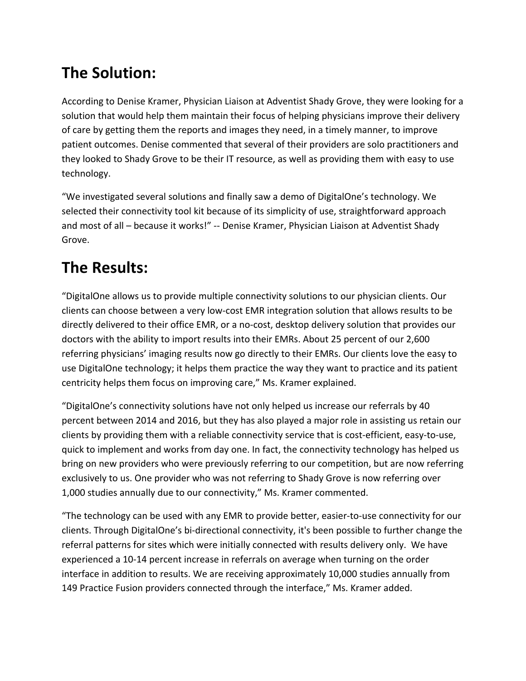## **The Solution:**

According to Denise Kramer, Physician Liaison at Adventist Shady Grove, they were looking for a solution that would help them maintain their focus of helping physicians improve their delivery of care by getting them the reports and images they need, in a timely manner, to improve patient outcomes. Denise commented that several of their providers are solo practitioners and they looked to Shady Grove to be their IT resource, as well as providing them with easy to use technology.

"We investigated several solutions and finally saw a demo of DigitalOne's technology. We selected their connectivity tool kit because of its simplicity of use, straightforward approach and most of all – because it works!" -- Denise Kramer, Physician Liaison at Adventist Shady Grove.

## **The Results:**

"DigitalOne allows us to provide multiple connectivity solutions to our physician clients. Our clients can choose between a very low-cost EMR integration solution that allows results to be directly delivered to their office EMR, or a no-cost, desktop delivery solution that provides our doctors with the ability to import results into their EMRs. About 25 percent of our 2,600 referring physicians' imaging results now go directly to their EMRs. Our clients love the easy to use DigitalOne technology; it helps them practice the way they want to practice and its patient centricity helps them focus on improving care," Ms. Kramer explained.

"DigitalOne's connectivity solutions have not only helped us increase our referrals by 40 percent between 2014 and 2016, but they has also played a major role in assisting us retain our clients by providing them with a reliable connectivity service that is cost-efficient, easy-to-use, quick to implement and works from day one. In fact, the connectivity technology has helped us bring on new providers who were previously referring to our competition, but are now referring exclusively to us. One provider who was not referring to Shady Grove is now referring over 1,000 studies annually due to our connectivity," Ms. Kramer commented.

"The technology can be used with any EMR to provide better, easier-to-use connectivity for our clients. Through DigitalOne's bi-directional connectivity, it's been possible to further change the referral patterns for sites which were initially connected with results delivery only. We have experienced a 10-14 percent increase in referrals on average when turning on the order interface in addition to results. We are receiving approximately 10,000 studies annually from 149 Practice Fusion providers connected through the interface," Ms. Kramer added.